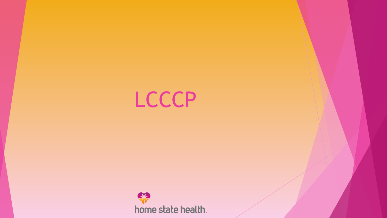

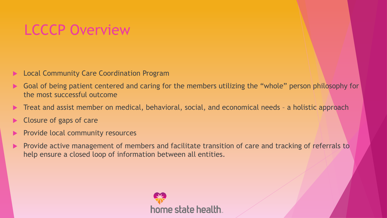## LCCCP Overview

- Local Community Care Coordination Program
- Goal of being patient centered and caring for the members utilizing the "whole" person philosophy for the most successful outcome
- Treat and assist member on medical, behavioral, social, and economical needs a holistic approach
- Closure of gaps of care
- Provide local community resources
- Provide active management of members and facilitate transition of care and tracking of referrals to help ensure a closed loop of information between all entities.

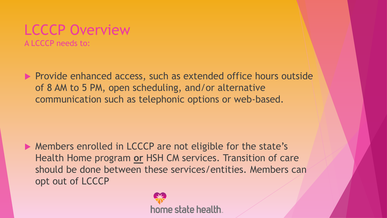## LCCCP Overview

A LCCCP needs to:

**Provide enhanced access, such as extended office hours outside** of 8 AM to 5 PM, open scheduling, and/or alternative communication such as telephonic options or web-based.

▶ Members enrolled in LCCCP are not eligible for the state's Health Home program **or** HSH CM services. Transition of care should be done between these services/entities. Members can opt out of LCCCP

home state health.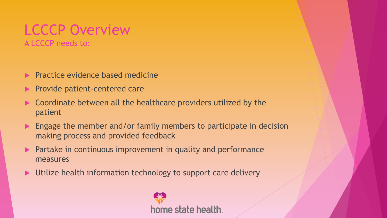## LCCCP Overview

A LCCCP needs to:

- $\blacktriangleright$  Practice evidence based medicine
- **Provide patient-centered care**
- ▶ Coordinate between all the healthcare providers utilized by the patient
- **Engage the member and/or family members to participate in decision** making process and provided feedback
- **Partake in continuous improvement in quality and performance** measures
- ▶ Utilize health information technology to support care delivery